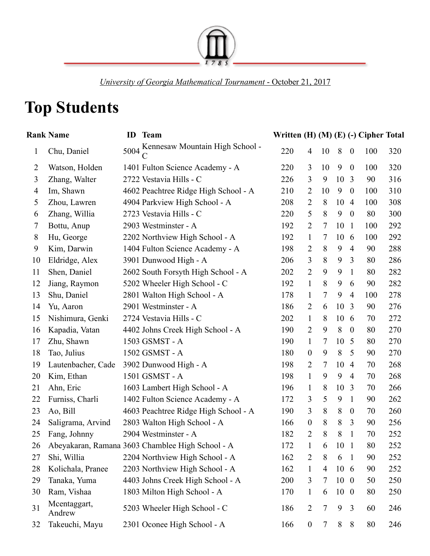

*University of Georgia Mathematical Tournament* - October 21, 2017

## **Top Students**

|              | <b>Rank Name</b>       | ID   | <b>Team</b>                                      | Written (H) (M) (E) (-) Cipher Total |                  |        |                 |                  |     |     |
|--------------|------------------------|------|--------------------------------------------------|--------------------------------------|------------------|--------|-----------------|------------------|-----|-----|
| $\mathbf{1}$ | Chu, Daniel            | 5004 | Kennesaw Mountain High School -                  | 220                                  | $\overline{4}$   | 10     | 8               | $\boldsymbol{0}$ | 100 | 320 |
| 2            | Watson, Holden         |      | 1401 Fulton Science Academy - A                  | 220                                  | 3                | 10     | 9               | $\boldsymbol{0}$ | 100 | 320 |
| 3            | Zhang, Walter          |      | 2722 Vestavia Hills - C                          | 226                                  | 3                | 9      | 10              | 3                | 90  | 316 |
| 4            | Im, Shawn              |      | 4602 Peachtree Ridge High School - A             | 210                                  | $\overline{2}$   | 10     | 9               | $\overline{0}$   | 100 | 310 |
| 5            | Zhou, Lawren           |      | 4904 Parkview High School - A                    | 208                                  | $\overline{2}$   | 8      | 10              | $\overline{4}$   | 100 | 308 |
| 6            | Zhang, Willia          |      | 2723 Vestavia Hills - C                          | 220                                  | 5                | 8      | 9               | $\boldsymbol{0}$ | 80  | 300 |
| $\tau$       | Bottu, Anup            |      | 2903 Westminster - A                             | 192                                  | $\overline{2}$   | 7      | 10              | $\mathbf{1}$     | 100 | 292 |
| 8            | Hu, George             |      | 2202 Northview High School - A                   | 192                                  | $\mathbf{1}$     | 7      | 10              | 6                | 100 | 292 |
| 9            | Kim, Darwin            |      | 1404 Fulton Science Academy - A                  | 198                                  | $\overline{2}$   | 8      | 9               | $\overline{4}$   | 90  | 288 |
| 10           | Eldridge, Alex         |      | 3901 Dunwood High - A                            | 206                                  | 3                | 8      | 9               | 3                | 80  | 286 |
| 11           | Shen, Daniel           |      | 2602 South Forsyth High School - A               | 202                                  | $\overline{2}$   | 9      | 9               | $\mathbf{1}$     | 80  | 282 |
| 12           | Jiang, Raymon          |      | 5202 Wheeler High School - C                     | 192                                  | $\mathbf{1}$     | 8      | 9               | 6                | 90  | 282 |
| 13           | Shu, Daniel            |      | 2801 Walton High School - A                      | 178                                  | $\mathbf{1}$     | 7      | 9               | $\overline{4}$   | 100 | 278 |
| 14           | Yu, Aaron              |      | 2901 Westminster - A                             | 186                                  | $\overline{2}$   | 6      | 10              | 3                | 90  | 276 |
| 15           | Nishimura, Genki       |      | 2724 Vestavia Hills - C                          | 202                                  | $\mathbf{1}$     | 8      | 10              | 6                | 70  | 272 |
| 16           | Kapadia, Vatan         |      | 4402 Johns Creek High School - A                 | 190                                  | $\overline{2}$   | 9      | 8               | $\boldsymbol{0}$ | 80  | 270 |
| 17           | Zhu, Shawn             |      | 1503 GSMST - A                                   | 190                                  | $\mathbf{1}$     | 7      | 10              | 5                | 80  | 270 |
| 18           | Tao, Julius            |      | 1502 GSMST - A                                   | 180                                  | $\boldsymbol{0}$ | 9      | 8               | 5                | 90  | 270 |
| 19           | Lautenbacher, Cade     |      | 3902 Dunwood High - A                            | 198                                  | $\overline{2}$   | 7      | 10              | $\overline{4}$   | 70  | 268 |
| 20           | Kim, Ethan             |      | 1501 GSMST - A                                   | 198                                  | $\mathbf{1}$     | 9      | 9               | $\overline{4}$   | 70  | 268 |
| 21           | Ahn, Eric              |      | 1603 Lambert High School - A                     | 196                                  | $\mathbf{1}$     | 8      | 10              | 3                | 70  | 266 |
| 22           | Furniss, Charli        |      | 1402 Fulton Science Academy - A                  | 172                                  | 3                | 5      | 9               | $\mathbf{1}$     | 90  | 262 |
| 23           | Ao, Bill               |      | 4603 Peachtree Ridge High School - A             | 190                                  | 3                | 8      | 8               | $\boldsymbol{0}$ | 70  | 260 |
| 24           | Saligrama, Arvind      |      | 2803 Walton High School - A                      | 166                                  | $\boldsymbol{0}$ | 8      | 8               | 3                | 90  | 256 |
| 25           | Fang, Johnny           |      | 2904 Westminster - A                             | 182                                  | $\overline{2}$   | 8      | 8               | $\mathbf{1}$     | 70  | 252 |
| 26           |                        |      | Abeyakaran, Ramana 3603 Chamblee High School - A | 172                                  | $\mathbf{1}$     | 6      | 10 <sub>1</sub> |                  | 80  | 252 |
| 27           | Shi, Willia            |      | 2204 Northview High School - A                   | 162                                  | $\overline{2}$   | 8      | 6               | $\mathbf{1}$     | 90  | 252 |
| 28           | Kolichala, Pranee      |      | 2203 Northview High School - A                   | 162                                  | $\mathbf{1}$     | 4      | $10\t6$         |                  | 90  | 252 |
| 29           | Tanaka, Yuma           |      | 4403 Johns Creek High School - A                 | 200                                  | 3                | 7      | $10\quad0$      |                  | 50  | 250 |
| 30           | Ram, Vishaa            |      | 1803 Milton High School - A                      | 170                                  | $\mathbf{1}$     | 6      | $10\quad0$      |                  | 80  | 250 |
| 31           | Mcentaggart,<br>Andrew |      | 5203 Wheeler High School - C                     | 186                                  | $\overline{2}$   | 7      | 9               | 3                | 60  | 246 |
| 32           | Takeuchi, Mayu         |      | 2301 Oconee High School - A                      | 166                                  | $\boldsymbol{0}$ | $\tau$ | 8               | 8                | 80  | 246 |